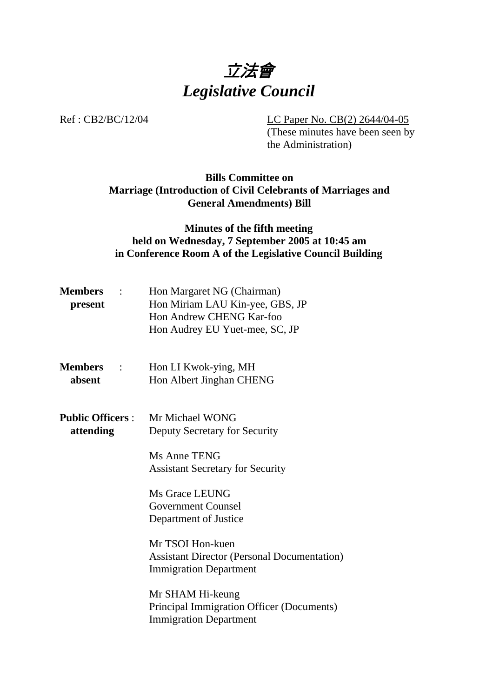

Ref : CB2/BC/12/04 LC Paper No. CB(2) 2644/04-05

(These minutes have been seen by the Administration)

## **Bills Committee on Marriage (Introduction of Civil Celebrants of Marriages and General Amendments) Bill**

## **Minutes of the fifth meeting held on Wednesday, 7 September 2005 at 10:45 am in Conference Room A of the Legislative Council Building**

| $\mathcal{L}$ | Hon Margaret NG (Chairman)      |
|---------------|---------------------------------|
|               | Hon Miriam LAU Kin-yee, GBS, JP |
|               | Hon Andrew CHENG Kar-foo        |
|               | Hon Audrey EU Yuet-mee, SC, JP  |
|               |                                 |

| <b>Members</b> | Hon LI Kwok-ying, MH     |
|----------------|--------------------------|
| absent         | Hon Albert Jinghan CHENG |

**Public Officers** : Mr Michael WONG **attending** Deputy Secretary for Security

> Ms Anne TENG Assistant Secretary for Security

Ms Grace LEUNG Government Counsel Department of Justice

Mr TSOI Hon-kuen Assistant Director (Personal Documentation) Immigration Department

Mr SHAM Hi-keung Principal Immigration Officer (Documents) Immigration Department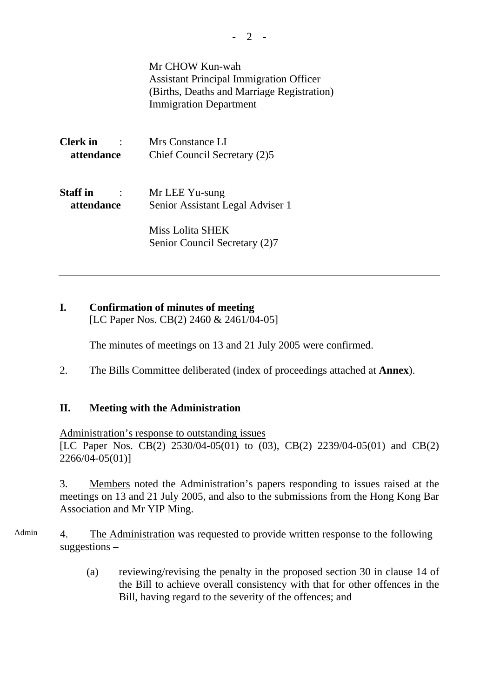Mr CHOW Kun-wah Assistant Principal Immigration Officer (Births, Deaths and Marriage Registration) Immigration Department **Clerk in** : Mrs Constance LI  **attendance** Chief Council Secretary (2)5

**Staff in** : Mr LEE Yu-sung  **attendance** Senior Assistant Legal Adviser 1

> Miss Lolita SHEK Senior Council Secretary (2)7

# **I. Confirmation of minutes of meeting**

[LC Paper Nos. CB(2) 2460 & 2461/04-05]

The minutes of meetings on 13 and 21 July 2005 were confirmed.

2. The Bills Committee deliberated (index of proceedings attached at **Annex**).

#### **II. Meeting with the Administration**

Administration's response to outstanding issues

[LC Paper Nos. CB(2) 2530/04-05(01) to (03), CB(2) 2239/04-05(01) and CB(2) 2266/04-05(01)]

3. Members noted the Administration's papers responding to issues raised at the meetings on 13 and 21 July 2005, and also to the submissions from the Hong Kong Bar Association and Mr YIP Ming.

Admin 4. The Administration was requested to provide written response to the following suggestions –

> (a) reviewing/revising the penalty in the proposed section 30 in clause 14 of the Bill to achieve overall consistency with that for other offences in the Bill, having regard to the severity of the offences; and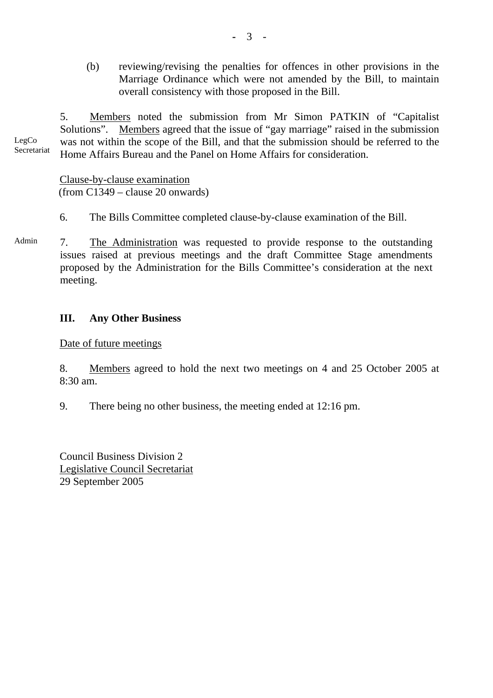(b) reviewing/revising the penalties for offences in other provisions in the Marriage Ordinance which were not amended by the Bill, to maintain overall consistency with those proposed in the Bill.

LegCo Secretariat 5. Members noted the submission from Mr Simon PATKIN of "Capitalist Solutions". Members agreed that the issue of "gay marriage" raised in the submission was not within the scope of the Bill, and that the submission should be referred to the Home Affairs Bureau and the Panel on Home Affairs for consideration.

> Clause-by-clause examination (from C1349 – clause 20 onwards)

- 6. The Bills Committee completed clause-by-clause examination of the Bill.
- Admin 7. The Administration was requested to provide response to the outstanding issues raised at previous meetings and the draft Committee Stage amendments proposed by the Administration for the Bills Committee's consideration at the next meeting.

## **III. Any Other Business**

Date of future meetings

8. Members agreed to hold the next two meetings on 4 and 25 October 2005 at 8:30 am.

9. There being no other business, the meeting ended at 12:16 pm.

Council Business Division 2 Legislative Council Secretariat 29 September 2005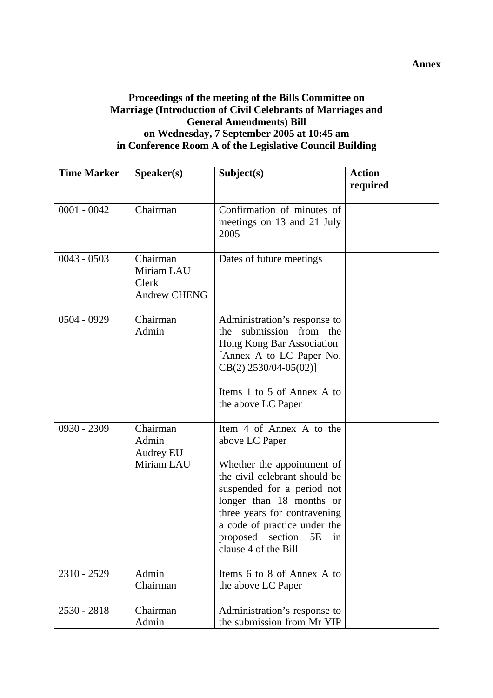#### **Proceedings of the meeting of the Bills Committee on Marriage (Introduction of Civil Celebrants of Marriages and General Amendments) Bill on Wednesday, 7 September 2005 at 10:45 am in Conference Room A of the Legislative Council Building**

| <b>Time Marker</b> | Speaker(s)                                             | Subject(s)                                                                                                                                                                                                                                                                            | <b>Action</b><br>required |
|--------------------|--------------------------------------------------------|---------------------------------------------------------------------------------------------------------------------------------------------------------------------------------------------------------------------------------------------------------------------------------------|---------------------------|
|                    |                                                        |                                                                                                                                                                                                                                                                                       |                           |
| $0001 - 0042$      | Chairman                                               | Confirmation of minutes of<br>meetings on 13 and 21 July<br>2005                                                                                                                                                                                                                      |                           |
| $0043 - 0503$      | Chairman<br>Miriam LAU<br>Clerk<br><b>Andrew CHENG</b> | Dates of future meetings                                                                                                                                                                                                                                                              |                           |
| 0504 - 0929        | Chairman<br>Admin                                      | Administration's response to<br>submission from the<br>the<br>Hong Kong Bar Association<br>[Annex A to LC Paper No.<br>$CB(2)$ 2530/04-05(02)]<br>Items 1 to 5 of Annex A to<br>the above LC Paper                                                                                    |                           |
| 0930 - 2309        | Chairman<br>Admin<br>Audrey EU<br>Miriam LAU           | Item 4 of Annex A to the<br>above LC Paper<br>Whether the appointment of<br>the civil celebrant should be<br>suspended for a period not<br>longer than 18 months or<br>three years for contravening<br>a code of practice under the<br>proposed section 5E in<br>clause 4 of the Bill |                           |
| 2310 - 2529        | Admin<br>Chairman                                      | Items 6 to 8 of Annex A to<br>the above LC Paper                                                                                                                                                                                                                                      |                           |
| $2530 - 2818$      | Chairman<br>Admin                                      | Administration's response to<br>the submission from Mr YIP                                                                                                                                                                                                                            |                           |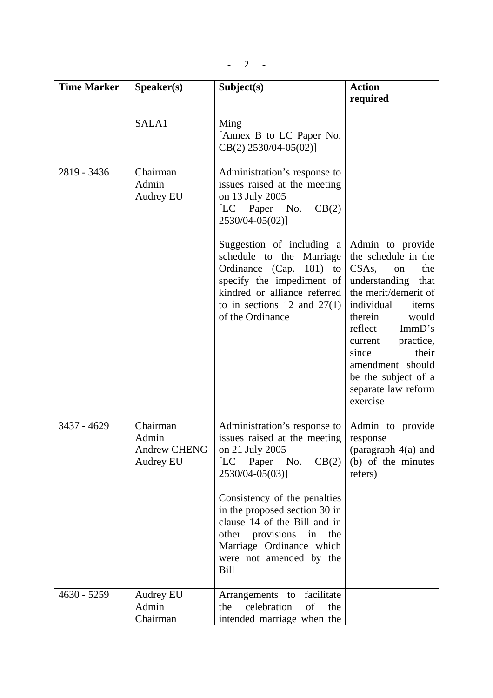| <b>Time Marker</b> | Speaker(s)                                            | Subject(s)                                                                                                                                                                                                                                                                                                                                              | <b>Action</b><br>required                                                                                                                                                                                                                                                                        |
|--------------------|-------------------------------------------------------|---------------------------------------------------------------------------------------------------------------------------------------------------------------------------------------------------------------------------------------------------------------------------------------------------------------------------------------------------------|--------------------------------------------------------------------------------------------------------------------------------------------------------------------------------------------------------------------------------------------------------------------------------------------------|
|                    | SALA1                                                 | Ming<br>[Annex B to LC Paper No.<br>CB(2) 2530/04-05(02)]                                                                                                                                                                                                                                                                                               |                                                                                                                                                                                                                                                                                                  |
| 2819 - 3436        | Chairman<br>Admin<br>Audrey EU                        | Administration's response to<br>issues raised at the meeting<br>on 13 July 2005<br>CB(2)<br>[LC Paper No.<br>2530/04-05(02)]<br>Suggestion of including a<br>schedule to the Marriage<br>Ordinance (Cap. 181) to<br>specify the impediment of<br>kindred or alliance referred<br>to in sections 12 and $27(1)$<br>of the Ordinance                      | Admin to provide<br>the schedule in the<br>$CSAs$ , on<br>the<br>understanding that<br>the merit/demerit of<br>individual<br>items<br>therein<br>would<br>ImmD's<br>reflect<br>current practice,<br>their<br>since<br>amendment should<br>be the subject of a<br>separate law reform<br>exercise |
| 3437 - 4629        | Chairman<br>Admin<br><b>Andrew CHENG</b><br>Audrey EU | Administration's response to<br>issues raised at the meeting<br>on 21 July 2005<br>$\overline{\text{LC}}$<br>CB(2)<br>Paper<br>No.<br>2530/04-05(03)]<br>Consistency of the penalties<br>in the proposed section 30 in<br>clause 14 of the Bill and in<br>other provisions in the<br>Marriage Ordinance which<br>were not amended by the<br><b>Bill</b> | Admin to provide<br>response<br>(paragraph $4(a)$ and<br>(b) of the minutes<br>refers)                                                                                                                                                                                                           |
| $4630 - 5259$      | <b>Audrey EU</b><br>Admin<br>Chairman                 | facilitate<br>Arrangements to<br>celebration<br>of<br>the<br>the<br>intended marriage when the                                                                                                                                                                                                                                                          |                                                                                                                                                                                                                                                                                                  |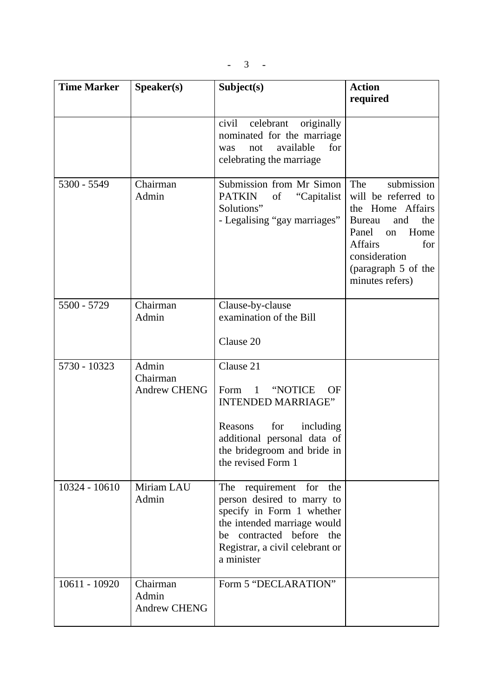| <b>Time Marker</b> | S <sub>p</sub> e <sub>aker</sub> (s)     | Subject(s)                                                                                                                                                                                                  | <b>Action</b><br>required                                                                                                                                                                       |
|--------------------|------------------------------------------|-------------------------------------------------------------------------------------------------------------------------------------------------------------------------------------------------------------|-------------------------------------------------------------------------------------------------------------------------------------------------------------------------------------------------|
|                    |                                          | originally<br>civil<br>celebrant<br>nominated for the marriage<br>available<br>for<br>not<br>was<br>celebrating the marriage                                                                                |                                                                                                                                                                                                 |
| 5300 - 5549        | Chairman<br>Admin                        | Submission from Mr Simon<br><b>PATKIN</b><br>of<br>"Capitalist<br>Solutions"<br>- Legalising "gay marriages"                                                                                                | submission<br>The<br>will be referred to<br>the Home Affairs<br>the<br><b>Bureau</b><br>and<br>Panel<br>Home<br>on<br>Affairs<br>for<br>consideration<br>(paragraph 5 of the<br>minutes refers) |
| 5500 - 5729        | Chairman<br>Admin                        | Clause-by-clause<br>examination of the Bill                                                                                                                                                                 |                                                                                                                                                                                                 |
|                    |                                          | Clause 20                                                                                                                                                                                                   |                                                                                                                                                                                                 |
| 5730 - 10323       | Admin<br>Chairman<br><b>Andrew CHENG</b> | Clause 21<br>Form<br>$\overline{1}$<br>"NOTICE<br><b>OF</b><br><b>INTENDED MARRIAGE"</b><br>for<br>including<br>Reasons<br>additional personal data of<br>the bridegroom and bride in<br>the revised Form 1 |                                                                                                                                                                                                 |
| 10324 - 10610      | Miriam LAU<br>Admin                      | The requirement for the<br>person desired to marry to<br>specify in Form 1 whether<br>the intended marriage would<br>be contracted before the<br>Registrar, a civil celebrant or<br>a minister              |                                                                                                                                                                                                 |
| 10611 - 10920      | Chairman<br>Admin<br><b>Andrew CHENG</b> | Form 5 "DECLARATION"                                                                                                                                                                                        |                                                                                                                                                                                                 |